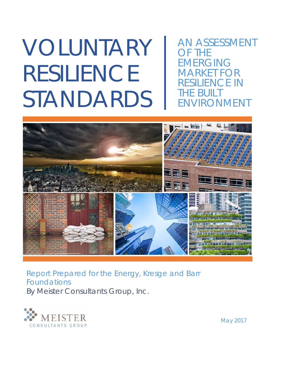# VOLUNTARY RESILIENCE STANDARDS

AN ASSESSMENT OF THE EMERGING MARKET FOR ESILIENCE IN HE BUILT ENVIRONMENT



Report Prepared for the Energy, Kresge and Barr Foundations By Meister Consultants Group, Inc.



May 2017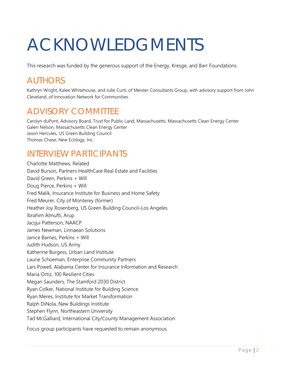# ACKNOWLEDGMENTS

This research was funded by the generous support of the Energy, Kresge, and Barr Foundations.

## **AUTHORS**

Kathryn Wright, Kalee Whitehouse, and Julie Curti, of Meister Consultants Group, with advisory support from John Cleveland, of Innovation Network for Communities.

## ADVISORY COMMITTEE

Carolyn duPont, Advisory Board, Trust for Public Land, Massachusetts; Massachusetts Clean Energy Center Galen Nelson, Massachusetts Clean Energy Center Jason Hercules, US Green Building Council Thomas Chase, New Ecology, Inc.

## INTERVIEW PARTICIPANTS

Charlotte Matthews, Related David Burson, Partners HealthCare Real Estate and Facilities David Green, Perkins + Will Doug Pierce, Perkins + Will Fred Malik, Insurance Institute for Business and Home Safety Fred Meurer, City of Monterey (former) Heather Joy Rosenberg, US Green Building Council–Los Angeles Ibrahim Almufti, Arup Jacqui Patterson, NAACP James Newman, Linnaean Solutions Janice Barnes, Perkins + Will Judith Hudson, US Army Katherine Burgess, Urban Land Institute Laurie Schoeman, Enterprise Community Partners Lars Powell, Alabama Center for Insurance Information and Research Maria Ortiz, 100 Resilient Cities Megan Saunders, The Stamford 2030 District Ryan Colker, National Institute for Building Science Ryan Meres, Institute for Market Transformation Ralph DiNola, New Buildings Institute Stephen Flynn, Northeastern University Tad McGalliard, International City/County Management Association

Focus group participants have requested to remain anonymous.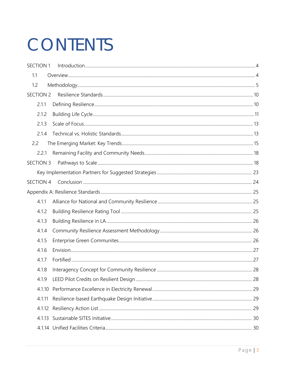# CONTENTS

| <b>SECTION 1</b> |  |
|------------------|--|
| 1.1              |  |
| 1.2              |  |
| SECTION 2        |  |
| 2.1.1            |  |
| 2.1.2            |  |
| 2.1.3            |  |
| 2.1.4            |  |
| 2.2              |  |
| 2.2.1            |  |
| SECTION 3        |  |
|                  |  |
| <b>SECTION 4</b> |  |
|                  |  |
| 4.1.1            |  |
| 4.1.2            |  |
| 4.1.3            |  |
| 4.1.4            |  |
| 4.1.5            |  |
| 4.1.6            |  |
| 4.1.7            |  |
| 4.1.8            |  |
| 4.1.9            |  |
| 4.1.10           |  |
| 4.1.11           |  |
| 4.1.12           |  |
| 4.1.13           |  |
|                  |  |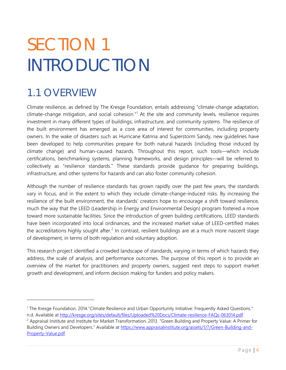# <span id="page-3-0"></span>SECTION 1 INTRODUCTION

## <span id="page-3-1"></span>1.1 OVERVIEW

 $\overline{a}$ 

Climate resilience, as defined by The Kresge Foundation, entails addressing "climate-change adaptation, climate-change mitigation, and social cohesion." [1](#page-3-2) At the site and community levels, resilience requires investment in many different types of buildings, infrastructure, and community systems. The resilience of the built environment has emerged as a core area of interest for communities, including property owners. In the wake of disasters such as Hurricane Katrina and Superstorm Sandy, new guidelines have been developed to help communities prepare for both natural hazards (including those induced by climate change) and human-caused hazards. Throughout this report, such tools—which include certifications, benchmarking systems, planning frameworks, and design principles—will be referred to collectively as "resilience standards." These standards provide guidance for preparing buildings, infrastructure, and other systems for hazards and can also foster community cohesion.

Although the number of resilience standards has grown rapidly over the past few years, the standards vary in focus, and in the extent to which they include climate-change-induced risks. By increasing the resilience of the built environment, the standards' creators hope to encourage a shift toward resilience, much the way that the LEED (Leadership in Energy and Environmental Design) program fostered a move toward more sustainable facilities. Since the introduction of green building certifications, LEED standards have been incorporated into local ordinances, and the increased market value of LEED-certified makes the accreditations highly sought after.<sup>[2](#page-3-3)</sup> In contrast, resilient buildings are at a much more nascent stage of development, in terms of both regulation and voluntary adoption.

This research project identified a crowded landscape of standards, varying in terms of which hazards they address, the scale of analysis, and performance outcomes. The purpose of this report is to provide an overview of the market for practitioners and property owners, suggest next steps to support market growth and development, and inform decision making for funders and policy makers.

<span id="page-3-2"></span><sup>1</sup> The Kresge Foundation. 2014."Climate Resilience and Urban Opportunity Initiative: Frequently Asked Questions."

<span id="page-3-3"></span>n.d. Available at [http://kresge.org/sites/default/files/Uploaded%20Docs/Climate-resilience-FAQs-063014.pdf.](http://kresge.org/sites/default/files/Uploaded%20Docs/Climate-resilience-FAQs-063014.pdf)<br><sup>2</sup> Appraisal Institute and Institute for Market Transformation. 2013. "Green Building and Property Value: A Prime Building Owners and Developers." Available at [https://www.appraisalinstitute.org/assets/1/7/Green-Building-and-](https://www.appraisalinstitute.org/assets/1/7/Green-Building-and-Property-Value.pdf)[Property-Value.pdf.](https://www.appraisalinstitute.org/assets/1/7/Green-Building-and-Property-Value.pdf)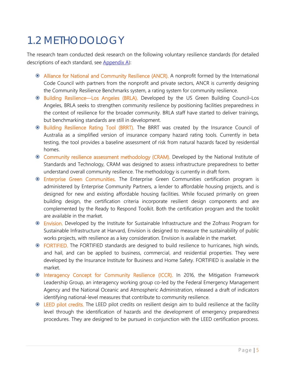## <span id="page-4-0"></span>1.2 METHODOLOGY

The research team conducted desk research on the following voluntary resilience standards (for detailed descriptions of each standard, see [Appendix A\)](#page-24-0):

- Alliance for National and Community Resilience (ANCR). A nonprofit formed by the International Code Council with partners from the nonprofit and private sectors, ANCR is currently designing the Community Resilience Benchmarks system, a rating system for community resilience.
- Building Resilience—Los Angeles (BRLA). Developed by the US Green Building Council–Los Angeles, BRLA seeks to strengthen community resilience by positioning facilities preparedness in the context of resilience for the broader community. BRLA staff have started to deliver trainings, but benchmarking standards are still in development.
- Building Resilience Rating Tool (BRRT). The BRRT was created by the Insurance Council of Australia as a simplified version of insurance company hazard rating tools. Currently in beta testing, the tool provides a baseline assessment of risk from natural hazards faced by residential homes.
- Community resilience assessment methodology (CRAM). Developed by the National Institute of Standards and Technology, CRAM was designed to assess infrastructure preparedness to better understand overall community resilience. The methodology is currently in draft form.
- Enterprise Green Communities. The Enterprise Green Communities certification program is administered by Enterprise Community Partners, a lender to affordable housing projects, and is designed for new and existing affordable housing facilities. While focused primarily on green building design, the certification criteria incorporate resilient design components and are complemented by the Ready to Respond Toolkit. Both the certification program and the toolkit are available in the market.
- Envision. Developed by the Institute for Sustainable Infrastructure and the Zofnass Program for Sustainable Infrastructure at Harvard, Envision is designed to measure the sustainability of public works projects, with resilience as a key consideration. Envision is available in the market.
- FORTIFIED. The FORTIFIED standards are designed to build resilience to hurricanes, high winds, and hail, and can be applied to business, commercial, and residential properties. They were developed by the Insurance Institute for Business and Home Safety. FORTIFIED is available in the market.
- Interagency Concept for Community Resilience (ICCR). In 2016, the Mitigation Framework Leadership Group, an interagency working group co-led by the Federal Emergency Management Agency and the National Oceanic and Atmospheric Administration, released a draft of indicators identifying national-level measures that contribute to community resilience.
- LEED pilot credits. The LEED pilot credits on resilient design aim to build resilience at the facility level through the identification of hazards and the development of emergency preparedness procedures. They are designed to be pursued in conjunction with the LEED certification process.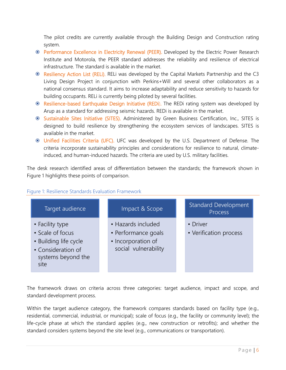The pilot credits are currently available through the Building Design and Construction rating system.

- Performance Excellence in Electricity Renewal (PEER). Developed by the Electric Power Research Institute and Motorola, the PEER standard addresses the reliability and resilience of electrical infrastructure. The standard is available in the market.
- **Example 20 Action List (RELI).** RELI was developed by the Capital Markets Partnership and the C3 Living Design Project in conjunction with Perkins+Will and several other collaborators as a national consensus standard. It aims to increase adaptability and reduce sensitivity to hazards for building occupants. RELi is currently being piloted by several facilities.
- Resilience-based Earthquake Design Initiative (REDi). The REDi rating system was developed by Arup as a standard for addressing seismic hazards. REDi is available in the market.
- **<sup>®</sup>** Sustainable Sites Initiative (SITES). Administered by Green Business Certification, Inc., SITES is designed to build resilience by strengthening the ecosystem services of landscapes. SITES is available in the market.
- Unified Facilities Criteria (UFC). UFC was developed by the U.S. Department of Defense. The criteria incorporate sustainability principles and considerations for resilience to natural, climateinduced, and human-induced hazards. The criteria are used by U.S. military facilities.

The desk research identified areas of differentiation between the standards; the framework shown in Figure 1 highlights these points of comparison.



#### Figure 1: Resilience Standards Evaluation Framework

The framework draws on criteria across three categories: target audience, impact and scope, and standard development process.

Within the target audience category, the framework compares standards based on facility type (e.g., residential, commercial, industrial, or municipal); scale of focus (e.g., the facility or community level); the life-cycle phase at which the standard applies (e.g., new construction or retrofits); and whether the standard considers systems beyond the site level (e.g., communications or transportation).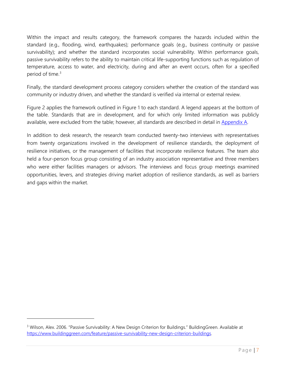Within the impact and results category, the framework compares the hazards included within the standard (e.g., flooding, wind, earthquakes); performance goals (e.g., business continuity or passive survivability); and whether the standard incorporates social vulnerability. Within performance goals, passive survivability refers to the ability to maintain critical life-supporting functions such as regulation of temperature, access to water, and electricity, during and after an event occurs, often for a specified period of time.<sup>[3](#page-6-0)</sup>

Finally, the standard development process category considers whether the creation of the standard was community or industry driven, and whether the standard is verified via internal or external review.

Figure 2 applies the framework outlined in Figure 1 to each standard. A legend appears at the bottom of the table. Standards that are in development, and for which only limited information was publicly available, were excluded from the table; however, all standards are described in detail in [Appendix A.](#page-24-0)

In addition to desk research, the research team conducted twenty-two interviews with representatives from twenty organizations involved in the development of resilience standards, the deployment of resilience initiatives, or the management of facilities that incorporate resilience features. The team also held a four-person focus group consisting of an industry association representative and three members who were either facilities managers or advisors. The interviews and focus group meetings examined opportunities, levers, and strategies driving market adoption of resilience standards, as well as barriers and gaps within the market.

<span id="page-6-0"></span><sup>&</sup>lt;sup>3</sup> Wilson, Alex. 2006. "Passive Survivability: A New Design Criterion for Buildings." BuildingGreen. Available at [https://www.buildinggreen.com/feature/passive-survivability-new-design-criterion-buildings.](https://www.buildinggreen.com/feature/passive-survivability-new-design-criterion-buildings)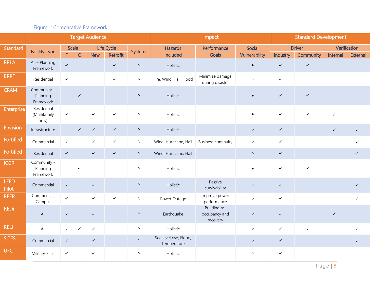### Figure 1: Comparative Framework

|                      | <b>Target Audience</b>               |              |                      |              |                        |                     | Impact                                |                                           |                         | <b>Standard Development</b> |                            |              |                                 |
|----------------------|--------------------------------------|--------------|----------------------|--------------|------------------------|---------------------|---------------------------------------|-------------------------------------------|-------------------------|-----------------------------|----------------------------|--------------|---------------------------------|
| Standard             | <b>Facility Type</b>                 | F.           | Scale<br>$\mathsf C$ | <b>New</b>   | Life Cycle<br>Retrofit | <b>Systems</b>      | <b>Hazards</b><br>Included            | Performance<br>Goals                      | Social<br>Vulnerability | Industry                    | <b>Driver</b><br>Community | Internal     | Verification<br><b>External</b> |
| <b>BRLA</b>          | All - Planning<br>Framework          | $\checkmark$ |                      |              | $\checkmark$           | ${\sf N}$           | Holistic                              |                                           | $\bullet$               | $\checkmark$                | $\checkmark$               |              |                                 |
| <b>BRRT</b>          | Residential                          | $\checkmark$ |                      |              | $\checkmark$           | $\mathsf{N}$        | Fire, Wind, Hail, Flood               | Minimize damage<br>during disaster        | $\circ$                 | $\checkmark$                |                            |              |                                 |
| <b>CRAM</b>          | Community -<br>Planning<br>Framework |              | $\checkmark$         |              |                        | $\mathsf Y$         | Holistic                              |                                           |                         | $\checkmark$                | $\checkmark$               |              |                                 |
| Enterprise           | Residential<br>(Multifamily<br>only) | $\checkmark$ |                      | $\checkmark$ | $\checkmark$           | Y                   | Holistic                              |                                           | $\bullet$               | $\checkmark$                | $\checkmark$               | $\checkmark$ |                                 |
| <b>Envision</b>      | Infrastructure                       |              | $\checkmark$         | $\checkmark$ | $\checkmark$           | Y                   | Holistic                              |                                           | $\mathbf 0$             | $\checkmark$                |                            | $\checkmark$ | $\checkmark$                    |
| Fortified            | Commercial                           | $\checkmark$ |                      | $\checkmark$ | $\checkmark$           | $\mathsf{N}$        | Wind, Hurricane, Hail                 | <b>Business continuity</b>                | $\circ$                 | $\checkmark$                |                            |              | $\checkmark$                    |
| Fortified            | Residential                          | $\checkmark$ |                      | $\checkmark$ | $\checkmark$           | ${\sf N}$           | Wind, Hurricane, Hail                 |                                           | $\circ$                 | $\checkmark$                |                            |              | $\checkmark$                    |
| <b>ICCR</b>          | Community -<br>Planning<br>Framework |              | $\checkmark$         |              |                        | Y                   | Holistic                              |                                           | $\bullet$               | $\checkmark$                | $\checkmark$               |              |                                 |
| <b>LEED</b><br>Pilot | Commercial                           | $\checkmark$ |                      | $\checkmark$ |                        | Y                   | Holistic                              | Passive<br>survivability                  | $\circ$                 | $\checkmark$                |                            |              | $\checkmark$                    |
| <b>PEER</b>          | Commercial,<br>Campus                | $\checkmark$ |                      | $\checkmark$ | $\checkmark$           | $\mathsf{N}\xspace$ | Power Outage                          | Improve power<br>performance              | $\circ$                 | $\checkmark$                |                            |              | $\checkmark$                    |
| <b>REDi</b>          | All                                  | $\checkmark$ |                      | $\checkmark$ |                        | Y                   | Earthquake                            | Building re-<br>occupancy and<br>recovery | $\circ$                 | $\checkmark$                |                            | $\checkmark$ |                                 |
| <b>RELi</b>          | All                                  | $\checkmark$ | $\checkmark$         | $\checkmark$ |                        | Y                   | Holistic                              |                                           | $\bullet$               | $\checkmark$                | $\checkmark$               |              | $\checkmark$                    |
| <b>SITES</b>         | Commercial                           | $\checkmark$ |                      | $\checkmark$ |                        | ${\sf N}$           | Sea level rise; Flood,<br>Temperature |                                           | $\circ$                 | $\checkmark$                |                            |              | $\checkmark$                    |
| <b>UFC</b>           | Military Base                        | $\checkmark$ |                      | $\checkmark$ |                        | Y                   | Holistic                              |                                           | $\circ$                 | $\checkmark$                |                            |              |                                 |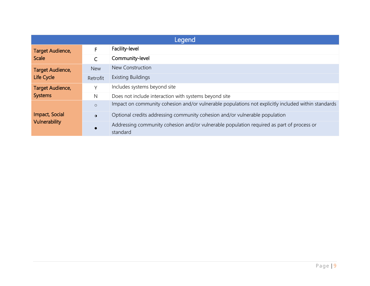| Legend                  |              |                                                                                                       |  |  |  |  |  |
|-------------------------|--------------|-------------------------------------------------------------------------------------------------------|--|--|--|--|--|
| <b>Target Audience,</b> | F            | Facility-level                                                                                        |  |  |  |  |  |
| <b>Scale</b>            | $\mathsf{C}$ | Community-level                                                                                       |  |  |  |  |  |
| <b>Target Audience,</b> | <b>New</b>   | New Construction                                                                                      |  |  |  |  |  |
| <b>Life Cycle</b>       | Retrofit     | <b>Existing Buildings</b>                                                                             |  |  |  |  |  |
| Target Audience,        | Y            | Includes systems beyond site                                                                          |  |  |  |  |  |
| <b>Systems</b>          | $\mathsf{N}$ | Does not include interaction with systems beyond site                                                 |  |  |  |  |  |
|                         | $\circ$      | Impact on community cohesion and/or vulnerable populations not explicitly included within standards   |  |  |  |  |  |
| Impact, Social          | $\bullet$    | Optional credits addressing community cohesion and/or vulnerable population                           |  |  |  |  |  |
| <b>Vulnerability</b>    |              | Addressing community cohesion and/or vulnerable population required as part of process or<br>standard |  |  |  |  |  |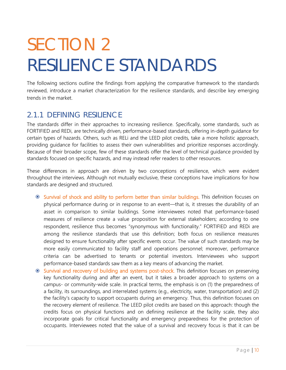# <span id="page-9-0"></span>SECTION 2 RESILIENCE STANDARDS

The following sections outline the findings from applying the comparative framework to the standards reviewed, introduce a market characterization for the resilience standards, and describe key emerging trends in the market.

## <span id="page-9-1"></span>2.1.1 DEFINING RESILIENCE

The standards differ in their approaches to increasing resilience. Specifically, some standards, such as FORTIFIED and REDi, are technically driven, performance-based standards, offering in-depth guidance for certain types of hazards. Others, such as RELi and the LEED pilot credits, take a more holistic approach, providing guidance for facilities to assess their own vulnerabilities and prioritize responses accordingly. Because of their broader scope, few of these standards offer the level of technical guidance provided by standards focused on specific hazards, and may instead refer readers to other resources.

These differences in approach are driven by two conceptions of resilience, which were evident throughout the interviews. Although not mutually exclusive, these conceptions have implications for how standards are designed and structured.

- Survival of shock and ability to perform better than similar buildings. This definition focuses on physical performance during or in response to an event—that is, it stresses the durability of an asset in comparison to similar buildings. Some interviewees noted that performance-based measures of resilience create a value proposition for external stakeholders; according to one respondent, resilience thus becomes "synonymous with functionality." FORTIFIED and REDi are among the resilience standards that use this definition; both focus on resilience measures designed to ensure functionality after specific events occur. The value of such standards may be more easily communicated to facility staff and operations personnel; moreover, performance criteria can be advertised to tenants or potential investors. Interviewees who support performance-based standards saw them as a key means of advancing the market.
- Survival and recovery of building and systems post-shock. This definition focuses on preserving key functionality during and after an event, but it takes a broader approach to systems on a campus- or community-wide scale. In practical terms, the emphasis is on (1) the preparedness of a facility, its surroundings, and interrelated systems (e.g., electricity, water, transportation) and (2) the facility's capacity to support occupants during an emergency. Thus, this definition focuses on the recovery element of resilience. The LEED pilot credits are based on this approach: though the credits focus on physical functions and on defining resilience at the facility scale, they also incorporate goals for critical functionality and emergency preparedness for the protection of occupants. Interviewees noted that the value of a survival and recovery focus is that it can be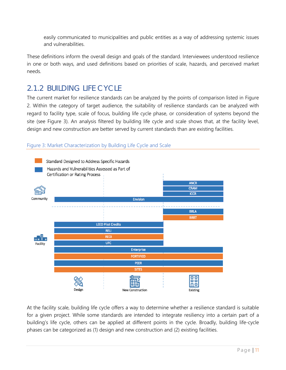easily communicated to municipalities and public entities as a way of addressing systemic issues and vulnerabilities.

These definitions inform the overall design and goals of the standard. Interviewees understood resilience in one or both ways, and used definitions based on priorities of scale, hazards, and perceived market needs.

## <span id="page-10-0"></span>2.1.2 BUILDING LIFE CYCLE

The current market for resilience standards can be analyzed by the points of comparison listed in Figure 2. Within the category of target audience, the suitability of resilience standards can be analyzed with regard to facility type, scale of focus, building life cycle phase, or consideration of systems beyond the site (see Figure 3). An analysis filtered by building life cycle and scale shows that, at the facility level, design and new construction are better served by current standards than are existing facilities.





At the facility scale, building life cycle offers a way to determine whether a resilience standard is suitable for a given project. While some standards are intended to integrate resiliency into a certain part of a building's life cycle, others can be applied at different points in the cycle. Broadly, building life-cycle phases can be categorized as (1) design and new construction and (2) existing facilities.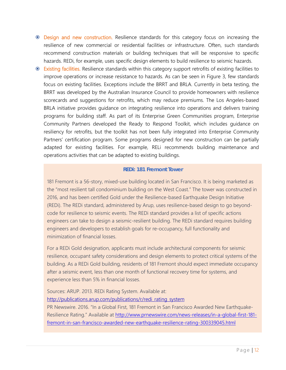- Design and new construction. Resilience standards for this category focus on increasing the resilience of new commercial or residential facilities or infrastructure. Often, such standards recommend construction materials or building techniques that will be responsive to specific hazards. REDi, for example, uses specific design elements to build resilience to seismic hazards.
- Existing facilities. Resilience standards within this category support retrofits of existing facilities to improve operations or increase resistance to hazards. As can be seen in Figure 3, few standards focus on existing facilities. Exceptions include the BRRT and BRLA. Currently in beta testing, the BRRT was developed by the Australian Insurance Council to provide homeowners with resilience scorecards and suggestions for retrofits, which may reduce premiums. The Los Angeles-based BRLA initiative provides guidance on integrating resilience into operations and delivers training programs for building staff. As part of its Enterprise Green Communities program, Enterprise Community Partners developed the Ready to Respond Toolkit, which includes guidance on resiliency for retrofits, but the toolkit has not been fully integrated into Enterprise Community Partners' certification program. Some programs designed for new construction can be partially adapted for existing facilities. For example, RELi recommends building maintenance and operations activities that can be adapted to existing buildings.

#### **REDi: 181 Fremont Tower**

181 Fremont is a 56-story, mixed-use building located in San Francisco. It is being marketed as the "most resilient tall condominium building on the West Coast." The tower was constructed in 2016, and has been certified Gold under the Resilience-based Earthquake Design Initiative (REDi). The REDi standard, administered by Arup, uses resilience-based design to go beyondcode for resilience to seismic events. The REDi standard provides a list of specific actions engineers can take to design a seismic-resilient building. The REDi standard requires building engineers and developers to establish goals for re-occupancy, full functionality and minimization of financial losses.

For a REDi Gold designation, applicants must include architectural components for seismic resilience, occupant safety considerations and design elements to protect critical systems of the building. As a REDi Gold building, residents of 181 Fremont should expect immediate occupancy after a seismic event, less than one month of functional recovery time for systems, and experience less than 5% in financial losses.

Sources: ARUP. 2013. REDi Rating System. Available at: [http://publications.arup.com/publications/r/redi\\_rating\\_system](http://publications.arup.com/publications/r/redi_rating_system)

PR Newswire. 2016. "In a Global First, 181 Fremont in San Francisco Awarded New Earthquake-Resilience Rating." Available at [http://www.prnewswire.com/news-releases/in-a-global-first-181](http://www.prnewswire.com/news-releases/in-a-global-first-181-fremont-in-san-francisco-awarded-new-earthquake-resilience-rating-300339045.html) [fremont-in-san-francisco-awarded-new-earthquake-resilience-rating-300339045.html](http://www.prnewswire.com/news-releases/in-a-global-first-181-fremont-in-san-francisco-awarded-new-earthquake-resilience-rating-300339045.html)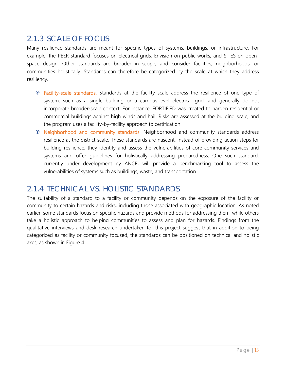## <span id="page-12-0"></span>2.1.3 SCALE OF FOCUS

Many resilience standards are meant for specific types of systems, buildings, or infrastructure. For example, the PEER standard focuses on electrical grids, Envision on public works, and SITES on openspace design. Other standards are broader in scope, and consider facilities, neighborhoods, or communities holistically. Standards can therefore be categorized by the scale at which they address resiliency.

- Facility-scale standards. Standards at the facility scale address the resilience of one type of system, such as a single building or a campus-level electrical grid, and generally do not incorporate broader-scale context. For instance, FORTIFIED was created to harden residential or commercial buildings against high winds and hail. Risks are assessed at the building scale, and the program uses a facility-by-facility approach to certification.
- **E** Neighborhood and community standards. Neighborhood and community standards address resilience at the district scale. These standards are nascent: instead of providing action steps for building resilience, they identify and assess the vulnerabilities of core community services and systems and offer guidelines for holistically addressing preparedness. One such standard, currently under development by ANCR, will provide a benchmarking tool to assess the vulnerabilities of systems such as buildings, waste, and transportation.

### <span id="page-12-1"></span>2.1.4 TECHNICAL VS. HOLISTIC STANDARDS

The suitability of a standard to a facility or community depends on the exposure of the facility or community to certain hazards and risks, including those associated with geographic location. As noted earlier, some standards focus on specific hazards and provide methods for addressing them, while others take a holistic approach to helping communities to assess and plan for hazards. Findings from the qualitative interviews and desk research undertaken for this project suggest that in addition to being categorized as facility or community focused, the standards can be positioned on technical and holistic axes, as shown in Figure 4.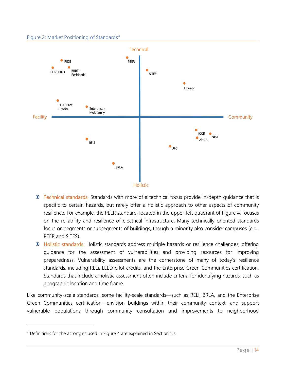#### Figure 2: Market Positioning of Standards<sup>[4](#page-13-0)</sup>



- **Technical standards.** Standards with more of a technical focus provide in-depth guidance that is specific to certain hazards, but rarely offer a holistic approach to other aspects of community resilience. For example, the PEER standard, located in the upper-left quadrant of Figure 4, focuses on the reliability and resilience of electrical infrastructure. Many technically oriented standards focus on segments or subsegments of buildings, though a minority also consider campuses (e.g., PEER and SITES).
- Holistic standards. Holistic standards address multiple hazards or resilience challenges, offering guidance for the assessment of vulnerabilities and providing resources for improving preparedness. Vulnerability assessments are the cornerstone of many of today's resilience standards, including RELi, LEED pilot credits, and the Enterprise Green Communities certification. Standards that include a holistic assessment often include criteria for identifying hazards, such as geographic location and time frame.

Like community-scale standards, some facility-scale standards—such as RELi, BRLA, and the Enterprise Green Communities certification—envision buildings within their community context, and support vulnerable populations through community consultation and improvements to neighborhood

<span id="page-13-0"></span><sup>4</sup> Definitions for the acronyms used in Figure 4 are explained in Section 1.2.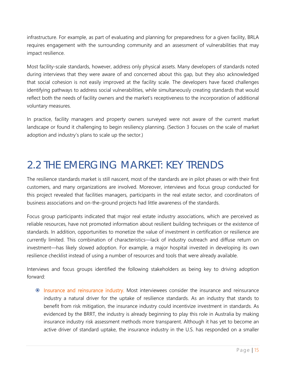infrastructure. For example, as part of evaluating and planning for preparedness for a given facility, BRLA requires engagement with the surrounding community and an assessment of vulnerabilities that may impact resilience.

Most facility-scale standards, however, address only physical assets. Many developers of standards noted during interviews that they were aware of and concerned about this gap, but they also acknowledged that social cohesion is not easily improved at the facility scale. The developers have faced challenges identifying pathways to address social vulnerabilities, while simultaneously creating standards that would reflect both the needs of facility owners and the market's receptiveness to the incorporation of additional voluntary measures.

In practice, facility managers and property owners surveyed were not aware of the current market landscape or found it challenging to begin resiliency planning. (Section 3 focuses on the scale of market adoption and industry's plans to scale up the sector.)

## <span id="page-14-0"></span>2.2 THE EMERGING MARKET: KEY TRENDS

The resilience standards market is still nascent, most of the standards are in pilot phases or with their first customers, and many organizations are involved. Moreover, interviews and focus group conducted for this project revealed that facilities managers, participants in the real estate sector, and coordinators of business associations and on-the-ground projects had little awareness of the standards.

Focus group participants indicated that major real estate industry associations, which are perceived as reliable resources, have not promoted information about resilient building techniques or the existence of standards. In addition, opportunities to monetize the value of investment in certification or resilience are currently limited. This combination of characteristics—lack of industry outreach and diffuse return on investment—has likely slowed adoption. For example, a major hospital invested in developing its own resilience checklist instead of using a number of resources and tools that were already available.

Interviews and focus groups identified the following stakeholders as being key to driving adoption forward:

 Insurance and reinsurance industry. Most interviewees consider the insurance and reinsurance industry a natural driver for the uptake of resilience standards. As an industry that stands to benefit from risk mitigation, the insurance industry could incentivize investment in standards. As evidenced by the BRRT, the industry is already beginning to play this role in Australia by making insurance industry risk assessment methods more transparent. Although it has yet to become an active driver of standard uptake, the insurance industry in the U.S. has responded on a smaller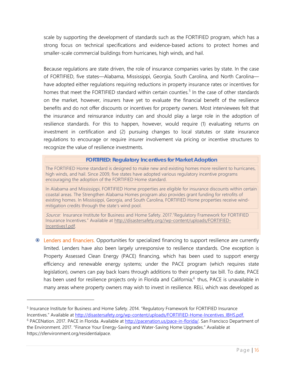scale by supporting the development of standards such as the FORTIFIED program, which has a strong focus on technical specifications and evidence-based actions to protect homes and smaller-scale commercial buildings from hurricanes, high winds, and hail.

Because regulations are state driven, the role of insurance companies varies by state. In the case of FORTIFIED, five states—Alabama, Mississippi, Georgia, South Carolina, and North Carolina have adopted either regulations requiring reductions in property insurance rates or incentives for homes that meet the FORTIFIED standard within certain counties.<sup>[5](#page-15-0)</sup> In the case of other standards on the market, however, insurers have yet to evaluate the financial benefit of the resilience benefits and do not offer discounts or incentives for property owners. Most interviewees felt that the insurance and reinsurance industry can and should play a large role in the adoption of resilience standards. For this to happen, however, would require (1) evaluating returns on investment in certification and (2) pursuing changes to local statutes or state insurance regulations to encourage or require insurer involvement via pricing or incentive structures to recognize the value of resilience investments.

#### **FORTIFIED: Regulatory Incentives for Market Adoption**

The FORTIFIED Home standard is designed to make new and existing homes more resilient to hurricanes, high winds, and hail. Since 2009, five states have adopted various regulatory incentive programs encouraging the adoption of the FORTIFIED Home standard.

In Alabama and Mississippi, FORTIFIED Home properties are eligible for insurance discounts within certain coastal areas. The Strengthen Alabama Homes program also provides grant funding for retrofits of existing homes. In Mississippi, Georgia, and South Carolina, FORTIFIED Home properties receive windmitigation credits through the state's wind pool.

Source: Insurance Institute for Business and Home Safety. 2017. "Regulatory Framework for FORTIFIED Insurance Incentives." Available a[t http://disastersafety.org//wp-content/uploads/FORTIFIED-](http://disastersafety.org/wp-content/uploads/FORTIFIED-Incentives1.pdf)[Incentives1.pdf.](http://disastersafety.org/wp-content/uploads/FORTIFIED-Incentives1.pdf)

 Lenders and financiers. Opportunities for specialized financing to support resilience are currently limited. Lenders have also been largely unresponsive to resilience standards. One exception is Property Assessed Clean Energy (PACE) financing, which has been used to support energy efficiency and renewable energy systems; under the PACE program (which requires state legislation), owners can pay back loans through additions to their property tax bill. To date, PACE has been used for resilience projects only in Florida and California;<sup>[6](#page-15-1)</sup> thus, PACE is unavailable in many areas where property owners may wish to invest in resilience. RELi, which was developed as

<span id="page-15-0"></span><sup>5</sup> Insurance Institute for Business and Home Safety. 2014. "Regulatory Framework for FORTIFIED Insurance

Incentives." Available at [http://disastersafety.org/wp-content/uploads/FORTIFIED-Home-Incentives\\_IBHS.pdf.](http://disastersafety.org/wp-content/uploads/FORTIFIED-Home-Incentives_IBHS.pdf)

<span id="page-15-1"></span><sup>&</sup>lt;sup>6</sup> PACENation. 2017. PACE in Florida. Available at [http://pacenation.us/pace-in-florida/.](http://pacenation.us/pace-in-florida/) San Francisco Department of the Environment. 2017. "Finance Your Energy-Saving and Water-Saving Home Upgrades." Available at https://sfenvironment.org/residentialpace.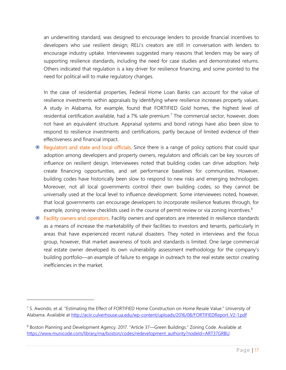an underwriting standard, was designed to encourage lenders to provide financial incentives to developers who use resilient design; RELi's creators are still in conversation with lenders to encourage industry uptake. Interviewees suggested many reasons that lenders may be wary of supporting resilience standards, including the need for case studies and demonstrated returns. Others indicated that regulation is a key driver for resilience financing, and some pointed to the need for political will to make regulatory changes.

In the case of residential properties, Federal Home Loan Banks can account for the value of resilience investments within appraisals by identifying where resilience increases property values. A study in Alabama, for example, found that FORTIFIED Gold homes, the highest level of residential certification available, had a [7](#page-16-0)% sale premium.<sup>7</sup> The commercial sector, however, does not have an equivalent structure. Appraisal systems and bond ratings have also been slow to respond to resilience investments and certifications, partly because of limited evidence of their effectiveness and financial impact.

- Regulators and state and local officials. Since there is a range of policy options that could spur adoption among developers and property owners, regulators and officials can be key sources of influence on resilient design. Interviewees noted that building codes can drive adoption, help create financing opportunities, and set performance baselines for communities. However, building codes have historically been slow to respond to new risks and emerging technologies. Moreover, not all local governments control their own building codes, so they cannot be universally used at the local level to influence development. Some interviewees noted, however, that local governments can encourage developers to incorporate resilience features through, for example, zoning review checklists used in the course of permit review or via zoning incentives.<sup>[8](#page-16-1)</sup>
- Facility owners and operators. Facility owners and operators are interested in resilience standards as a means of increase the marketability of their facilities to investors and tenants, particularly in areas that have experienced recent natural disasters. They noted in interviews and the focus group, however, that market awareness of tools and standards is limited. One large commercial real estate owner developed its own vulnerability assessment methodology for the company's building portfolio—an example of failure to engage in outreach to the real estate sector creating inefficiencies in the market.

<span id="page-16-0"></span> $7$  S. Awondo, et al. "Estimating the Effect of FORTIFIED Home Construction on Home Resale Value." University of Alabama. Available at [http://aciir.culverhouse.ua.edu/wp-content/uploads/2016/08/FORTIFIEDReport\\_V2-1.pdf](http://aciir.culverhouse.ua.edu/wp-content/uploads/2016/08/FORTIFIEDReport_V2-1.pdf)

<span id="page-16-1"></span><sup>8</sup> Boston Planning and Development Agency. 2017. "Article 37—Green Buildings." Zoning Code. Available at [https://www.municode.com/library/ma/boston/codes/redevelopment\\_authority?nodeId=ART37GRBU.](https://www.municode.com/library/ma/boston/codes/redevelopment_authority?nodeId=ART37GRBU)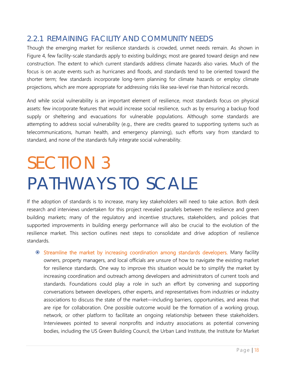## <span id="page-17-0"></span>2.2.1 REMAINING FACILITY AND COMMUNITY NEEDS

Though the emerging market for resilience standards is crowded, unmet needs remain. As shown in Figure 4, few facility-scale standards apply to existing buildings; most are geared toward design and new construction. The extent to which current standards address climate hazards also varies. Much of the focus is on acute events such as hurricanes and floods, and standards tend to be oriented toward the shorter term; few standards incorporate long-term planning for climate hazards or employ climate projections, which are more appropriate for addressing risks like sea-level rise than historical records.

And while social vulnerability is an important element of resilience, most standards focus on physical assets: few incorporate features that would increase social resilience, such as by ensuring a backup food supply or sheltering and evacuations for vulnerable populations. Although some standards are attempting to address social vulnerability (e.g., there are credits geared to supporting systems such as telecommunications, human health, and emergency planning), such efforts vary from standard to standard, and none of the standards fully integrate social vulnerability.

## <span id="page-17-1"></span>SECTION 3 PATHWAYS TO SCALE

If the adoption of standards is to increase, many key stakeholders will need to take action. Both desk research and interviews undertaken for this project revealed parallels between the resilience and green building markets; many of the regulatory and incentive structures, stakeholders, and policies that supported improvements in building energy performance will also be crucial to the evolution of the resilience market. This section outlines next steps to consolidate and drive adoption of resilience standards.

 Streamline the market by increasing coordination among standards developers. Many facility owners, property managers, and local officials are unsure of how to navigate the existing market for resilience standards. One way to improve this situation would be to simplify the market by increasing coordination and outreach among developers and administrators of current tools and standards. Foundations could play a role in such an effort by convening and supporting conversations between developers, other experts, and representatives from industries or industry associations to discuss the state of the market—including barriers, opportunities, and areas that are ripe for collaboration. One possible outcome would be the formation of a working group, network, or other platform to facilitate an ongoing relationship between these stakeholders. Interviewees pointed to several nonprofits and industry associations as potential convening bodies, including the US Green Building Council, the Urban Land Institute, the Institute for Market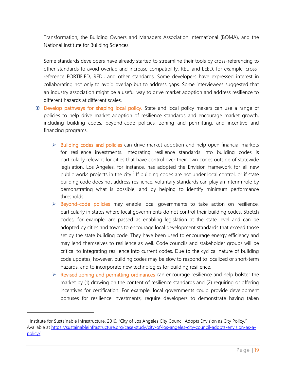Transformation, the Building Owners and Managers Association International (BOMA), and the National Institute for Building Sciences.

Some standards developers have already started to streamline their tools by cross-referencing to other standards to avoid overlap and increase compatibility. RELi and LEED, for example, crossreference FORTIFIED, REDi, and other standards. Some developers have expressed interest in collaborating not only to avoid overlap but to address gaps. Some interviewees suggested that an industry association might be a useful way to drive market adoption and address resilience to different hazards at different scales.

- Develop pathways for shaping local policy. State and local policy makers can use a range of policies to help drive market adoption of resilience standards and encourage market growth, including building codes, beyond-code policies, zoning and permitting, and incentive and financing programs.
	- $\triangleright$  Building codes and policies can drive market adoption and help open financial markets for resilience investments. Integrating resilience standards into building codes is particularly relevant for cities that have control over their own codes outside of statewide legislation. Los Angeles, for instance, has adopted the Envision framework for all new public works projects in the city. $9$  If building codes are not under local control, or if state building code does not address resilience, voluntary standards can play an interim role by demonstrating what is possible, and by helping to identify minimum performance thresholds.
	- $\triangleright$  Beyond-code policies may enable local governments to take action on resilience, particularly in states where local governments do not control their building codes. Stretch codes, for example, are passed as enabling legislation at the state level and can be adopted by cities and towns to encourage local development standards that exceed those set by the state building code. They have been used to encourage energy efficiency and may lend themselves to resilience as well. Code councils and stakeholder groups will be critical to integrating resilience into current codes. Due to the cyclical nature of building code updates, however, building codes may be slow to respond to localized or short-term hazards, and to incorporate new technologies for building resilience.
	- $\triangleright$  Revised zoning and permitting ordinances can encourage resilience and help bolster the market by (1) drawing on the content of resilience standards and (2) requiring or offering incentives for certification. For example, local governments could provide development bonuses for resilience investments, require developers to demonstrate having taken

<span id="page-18-0"></span><sup>9</sup> Institute for Sustainable Infrastructure. 2016. "City of Los Angeles City Council Adopts Envision as City Policy." Available at [https://sustainableinfrastructure.org/case-study/city-of-los-angeles-city-council-adopts-envision-as-a](https://sustainableinfrastructure.org/case-study/city-of-los-angeles-city-council-adopts-envision-as-a-policy/)[policy/.](https://sustainableinfrastructure.org/case-study/city-of-los-angeles-city-council-adopts-envision-as-a-policy/)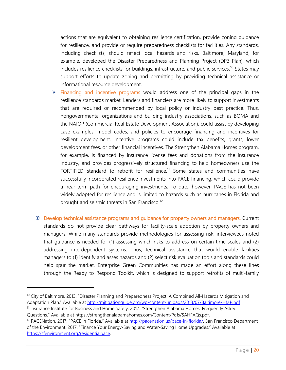actions that are equivalent to obtaining resilience certification, provide zoning guidance for resilience, and provide or require preparedness checklists for facilities. Any standards, including checklists, should reflect local hazards and risks. Baltimore, Maryland, for example, developed the Disaster Preparedness and Planning Project (DP3 Plan), which includes resilience checklists for buildings, infrastructure, and public services.<sup>[10](#page-19-0)</sup> States may support efforts to update zoning and permitting by providing technical assistance or informational resource development.

- $\triangleright$  Financing and incentive programs would address one of the principal gaps in the resilience standards market. Lenders and financiers are more likely to support investments that are required or recommended by local policy or industry best practice. Thus, nongovernmental organizations and building industry associations, such as BOMA and the NAIOP (Commercial Real Estate Development Association), could assist by developing case examples, model codes, and policies to encourage financing and incentives for resilient development. Incentive programs could include tax benefits, grants, lower development fees, or other financial incentives. The Strengthen Alabama Homes program, for example, is financed by insurance license fees and donations from the insurance industry, and provides progressively structured financing to help homeowners use the FORTIFIED standard to retrofit for resilience.<sup>[11](#page-19-1)</sup> Some states and communities have successfully incorporated resilience investments into PACE financing, which could provide a near-term path for encouraging investments. To date, however, PACE has not been widely adopted for resilience and is limited to hazards such as hurricanes in Florida and drought and seismic threats in San Francisco.<sup>[12](#page-19-2)</sup>
- Develop technical assistance programs and guidance for property owners and managers. Current standards do not provide clear pathways for facility-scale adoption by property owners and managers. While many standards provide methodologies for assessing risk, interviewees noted that guidance is needed for (1) assessing which risks to address on certain time scales and (2) addressing interdependent systems. Thus, technical assistance that would enable facilities managers to (1) identify and asses hazards and (2) select risk evaluation tools and standards could help spur the market. Enterprise Green Communities has made an effort along these lines through the Ready to Respond Toolkit, which is designed to support retrofits of multi-family

<span id="page-19-0"></span><sup>&</sup>lt;sup>10</sup> City of Baltimore. 2013. "Disaster Planning and Preparedness Project: A Combined All-Hazards Mitigation and Adaptation Plan." Available at<http://mitigationguide.org/wp-content/uploads/2013/07/Baltimore-HMP.pdf> <sup>11</sup> Insurance Institute for Business and Home Safety. 2017. "Strengthen Alabama Homes: Frequently Asked

<span id="page-19-1"></span>Questions." Available at https://strengthenalabamahomes.com/Content/Pdfs/SAHFAQs.pdf.

<span id="page-19-2"></span><sup>&</sup>lt;sup>12</sup> PACENation. 2017. "PACE in Florida." Available at [http://pacenation.us/pace-in-florida/.](http://pacenation.us/pace-in-florida/) San Francisco Department of the Environment. 2017. "Finance Your Energy-Saving and Water-Saving Home Upgrades." Available at [https://sfenvironment.org/residentialpace.](https://sfenvironment.org/residentialpace)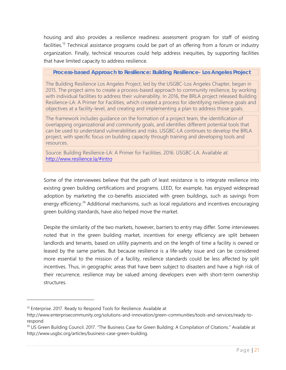housing and also provides a resilience readiness assessment program for staff of existing facilities.<sup>[13](#page-20-0)</sup> Technical assistance programs could be part of an offering from a forum or industry organization. Finally, technical resources could help address inequities, by supporting facilities that have limited capacity to address resilience.

**Process-based Approach to Resilience: Building Resilience- Los Angeles Project**

The Building Resilience Los Angeles Project, led by the USGBC-Los Angeles Chapter, began in 2015. The project aims to create a process-based approach to community resilience, by working with individual facilities to address their vulnerability. In 2016, the BRLA project released Building Resilience-LA: A Primer for Facilities, which created a process for identifying resilience goals and objectives at a facility-level, and creating and implementing a plan to address those goals.

The framework includes guidance on the formation of a project team, the identification of overlapping organizational and community goals, and identifies different potential tools that can be used to understand vulnerabilities and risks. USGBC-LA continues to develop the BRLA project, with specific focus on building capacity through training and developing tools and resources.

Source: Building Resilience-LA: A Primer for Facilities. 2016. USGBC-LA. Available at: <http://www.resilience.la/#intro>

Some of the interviewees believe that the path of least resistance is to integrate resilience into existing green building certifications and programs. LEED, for example, has enjoyed widespread adoption by marketing the co-benefits associated with green buildings, such as savings from energy efficiency.<sup>[14](#page-20-1)</sup> Additional mechanisms, such as local regulations and incentives encouraging green building standards, have also helped move the market.

Despite the similarity of the two markets, however, barriers to entry may differ. Some interviewees noted that in the green building market, incentives for energy efficiency are split between landlords and tenants, based on utility payments and on the length of time a facility is owned or leased by the same parties. But because resilience is a life-safety issue and can be considered more essential to the mission of a facility, resilience standards could be less affected by split incentives. Thus, in geographic areas that have been subject to disasters and have a high risk of their recurrence, resilience may be valued among developers even with short-term ownership structures.

<span id="page-20-0"></span><sup>&</sup>lt;sup>13</sup> Enterprise. 2017. Ready to Respond Tools for Resilience. Available at

http://www.enterprisecommunity.org/solutions-and-innovation/green-communities/tools-and-services/ready-torespond

<span id="page-20-1"></span><sup>&</sup>lt;sup>14</sup> US Green Building Council. 2017. "The Business Case for Green Building: A Compilation of Citations." Available at http://www.usgbc.org/articles/business-case-green-building.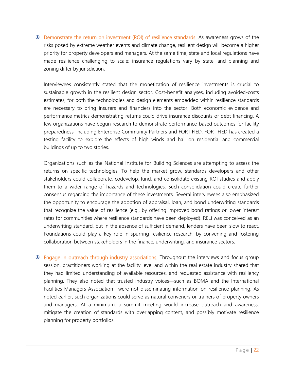Demonstrate the return on investment (ROI) of resilience standards. As awareness grows of the risks posed by extreme weather events and climate change, resilient design will become a higher priority for property developers and managers. At the same time, state and local regulations have made resilience challenging to scale: insurance regulations vary by state, and planning and zoning differ by jurisdiction.

Interviewees consistently stated that the monetization of resilience investments is crucial to sustainable growth in the resilient design sector. Cost-benefit analyses, including avoided-costs estimates, for both the technologies and design elements embedded within resilience standards are necessary to bring insurers and financiers into the sector. Both economic evidence and performance metrics demonstrating returns could drive insurance discounts or debt financing. A few organizations have begun research to demonstrate performance-based outcomes for facility preparedness, including Enterprise Community Partners and FORTIFIED. FORTIFIED has created a testing facility to explore the effects of high winds and hail on residential and commercial buildings of up to two stories.

Organizations such as the National Institute for Building Sciences are attempting to assess the returns on specific technologies. To help the market grow, standards developers and other stakeholders could collaborate, codevelop, fund, and consolidate existing ROI studies and apply them to a wider range of hazards and technologies. Such consolidation could create further consensus regarding the importance of these investments. Several interviewees also emphasized the opportunity to encourage the adoption of appraisal, loan, and bond underwriting standards that recognize the value of resilience (e.g., by offering improved bond ratings or lower interest rates for communities where resilience standards have been deployed). RELi was conceived as an underwriting standard, but in the absence of sufficient demand, lenders have been slow to react. Foundations could play a key role in spurring resilience research, by convening and fostering collaboration between stakeholders in the finance, underwriting, and insurance sectors.

 Engage in outreach through industry associations. Throughout the interviews and focus group session, practitioners working at the facility level and within the real estate industry shared that they had limited understanding of available resources, and requested assistance with resiliency planning. They also noted that trusted industry voices—such as BOMA and the International Facilities Managers Association—were not disseminating information on resilience planning. As noted earlier, such organizations could serve as natural conveners or trainers of property owners and managers. At a minimum, a summit meeting would increase outreach and awareness, mitigate the creation of standards with overlapping content, and possibly motivate resilience planning for property portfolios.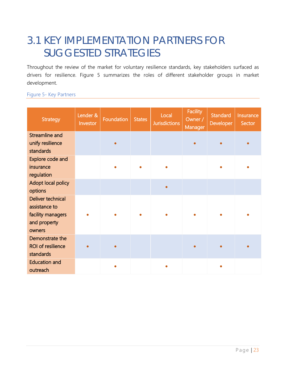## <span id="page-22-0"></span>3.1 KEY IMPLEMENTATION PARTNERS FOR SUGGESTED STRATEGIES

Throughout the review of the market for voluntary resilience standards, key stakeholders surfaced as drivers for resilience. Figure 5 summarizes the roles of different stakeholder groups in market development.

#### Figure 5- Key Partners

| <b>Strategy</b>                                                                   | Lender &<br>Investor | Foundation | <b>States</b> | Local<br><b>Jurisdictions</b> | <b>Facility</b><br>Owner /<br>Manager | <b>Standard</b><br><b>Developer</b> | Insurance<br>Sector |
|-----------------------------------------------------------------------------------|----------------------|------------|---------------|-------------------------------|---------------------------------------|-------------------------------------|---------------------|
| <b>Streamline and</b><br>unify resilience<br>standards                            |                      |            |               |                               | $\bullet$                             |                                     |                     |
| Explore code and<br>insurance<br>regulation                                       |                      |            |               |                               |                                       |                                     |                     |
| Adopt local policy<br>options                                                     |                      |            |               |                               |                                       |                                     |                     |
| Deliver technical<br>assistance to<br>facility managers<br>and property<br>owners |                      |            |               |                               |                                       |                                     |                     |
| Demonstrate the<br><b>ROI of resilience</b><br>standards                          | $\bullet$            | ٠          |               |                               | $\bullet$                             |                                     |                     |
| <b>Education and</b><br>outreach                                                  |                      |            |               |                               |                                       |                                     |                     |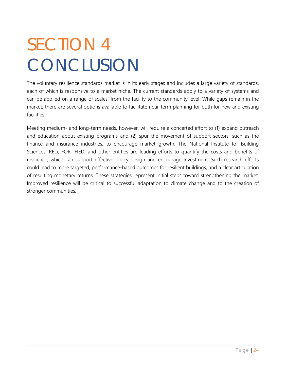# <span id="page-23-0"></span>SECTION 4 **CONCLUSION**

The voluntary resilience standards market is in its early stages and includes a large variety of standards, each of which is responsive to a market niche. The current standards apply to a variety of systems and can be applied on a range of scales, from the facility to the community level. While gaps remain in the market, there are several options available to facilitate near-term planning for both for new and existing facilities.

Meeting medium- and long-term needs, however, will require a concerted effort to (1) expand outreach and education about existing programs and (2) spur the movement of support sectors, such as the finance and insurance industries, to encourage market growth. The National Institute for Building Sciences, RELi, FORTIFIED, and other entities are leading efforts to quantify the costs and benefits of resilience, which can support effective policy design and encourage investment. Such research efforts could lead to more targeted, performance-based outcomes for resilient buildings, and a clear articulation of resulting monetary returns. These strategies represent initial steps toward strengthening the market. Improved resilience will be critical to successful adaptation to climate change and to the creation of stronger communities.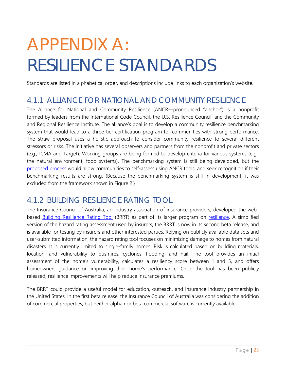# <span id="page-24-0"></span>APPENDIX A: RESILIENCE STANDARDS

Standards are listed in alphabetical order, and descriptions include links to each organization's website.

### <span id="page-24-1"></span>4.1.1 ALLIANCE FOR NATIONAL AND COMMUNITY RESILIENCE

The Alliance for National and Community Resilience (ANCR—pronounced "anchor") is a nonprofit formed by leaders from the International Code Council, the U.S. Resilience Council, and the Community and Regional Resilience Institute. The alliance's goal is to develop a community resilience benchmarking system that would lead to a three-tier certification program for communities with strong performance. The straw proposal uses a holistic approach to consider community resilience to several different stressors or risks. The initiative has several observers and partners from the nonprofit and private sectors (e.g., ICMA and Target). Working groups are being formed to develop criteria for various systems (e.g., the natural environment, food systems). The benchmarking system is still being developed, but the [proposed process](http://www.resilientalliance.org/) would allow communities to self-assess using ANCR tools, and seek recognition if their benchmarking results are strong. (Because the benchmarking system is still in development, it was excluded from the framework shown in Figure 2.)

### <span id="page-24-2"></span>4.1.2 BUILDING RESILIENCE RATING TOOL

The Insurance Council of Australia, an industry association of insurance providers, developed the webbased **[Building Resilience Rating Tool](https://www.resilient.property/)** (BRRT) as part of its larger program on [resilience.](http://www.buildingresilience.org.au/about-us) A simplified version of the hazard rating assessment used by insurers, the BRRT is now in its second beta release, and is available for testing by insurers and other interested parties. Relying on publicly available data sets and user-submitted information, the hazard rating tool focuses on minimizing damage to homes from natural disasters. It is currently limited to single-family homes. Risk is calculated based on building materials, location, and vulnerability to bushfires, cyclones, flooding, and hail. The tool provides an initial assessment of the home's vulnerability, calculates a resiliency score between 1 and 5, and offers homeowners guidance on improving their home's performance. Once the tool has been publicly released, resilience improvements will help reduce insurance premiums.

The BRRT could provide a useful model for education, outreach, and insurance industry partnership in the United States. In the first beta release, the Insurance Council of Australia was considering the addition of commercial properties, but neither alpha nor beta commercial software is currently available.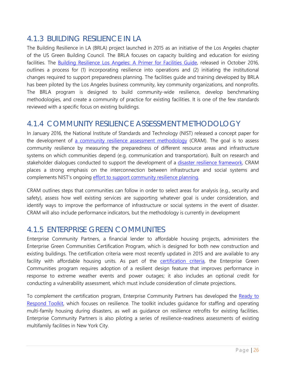## <span id="page-25-0"></span>4.1.3 BUILDING RESILIENCE IN LA

The Building Resilience in LA (BRLA) project launched in 2015 as an initiative of the Los Angeles chapter of the US Green Building Council. The BRLA focuses on capacity building and education for existing facilities. The [Building Resilience Los Angeles: A Primer for Facilities Guide,](https://static1.squarespace.com/static/57dc2456e58c62e05fee0316/t/58177cb7725e25ba06357b20/1477934275541/10-24-2016_BuildingResiliency-LA.pdf) released in October 2016, outlines a process for (1) incorporating resilience into operations and (2) initiating the institutional changes required to support preparedness planning. The facilities guide and training developed by BRLA has been piloted by the Los Angeles business community, key community organizations, and nonprofits. The BRLA program is designed to build community-wide resilience, develop benchmarking methodologies, and create a community of practice for existing facilities. It is one of the few standards reviewed with a specific focus on existing buildings.

### <span id="page-25-1"></span>4.1.4 COMMUNITY RESILIENCE ASSESSMENT METHODOLOGY

In January 2016, the National Institute of Standards and Technology (NIST) released a concept paper for the development of [a community resilience assessment methodology](https://www.nist.gov/sites/default/files/documents/el/resilience/NIST-GCR-16-001.pdf) (CRAM). The goal is to assess community resilience by measuring the preparedness of different resource areas and infrastructure systems on which communities depend (e.g. communication and transportation). Built on research and stakeholder dialogues conducted to support the development of a [disaster resilience framework,](http://nvlpubs.nist.gov/nistpubs/gcr/2015/NIST.GCR.15-917-37.pdf) CRAM places a strong emphasis on the interconnection between infrastructure and social systems and complements NIST's ongoing [effort to support community resilience planning.](https://www.nist.gov/programs-projects/community-resilience-program)

CRAM outlines steps that communities can follow in order to select areas for analysis (e.g., security and safety), assess how well existing services are supporting whatever goal is under consideration, and identify ways to improve the performance of infrastructure or social systems in the event of disaster. CRAM will also include performance indicators, but the methodology is currently in development

## <span id="page-25-2"></span>4.1.5 ENTERPRISE GREEN COMMUNITES

Enterprise Community Partners, a financial lender to affordable housing projects, administers the Enterprise Green Communities Certification Program, which is designed for both new construction and existing buildings. The certification criteria were most recently updated in 2015 and are available to any facility with affordable housing units. As part of the [certification criteria,](https://www.enterprisecommunity.org/sites/default/files/media-library/solutions-and-innovation/green/ecp-2015-criteria-checklist-11-15.pdf) the Enterprise Green Communities program requires adoption of a resilient design feature that improves performance in response to extreme weather events and power outages; it also includes an optional credit for conducting a vulnerability assessment, which must include consideration of climate projections.

To complement the certification program, Enterprise Community Partners has developed the [Ready to](http://www.enterprisecommunity.org/solutions-and-innovation/green-communities/tools-and-services/ready-to-respond)  [Respond Toolkit,](http://www.enterprisecommunity.org/solutions-and-innovation/green-communities/tools-and-services/ready-to-respond) which focuses on resilience. The toolkit includes guidance for staffing and operating multi-family housing during disasters, as well as guidance on resilience retrofits for existing facilities. Enterprise Community Partners is also piloting a series of resilience-readiness assessments of existing multifamily facilities in New York City.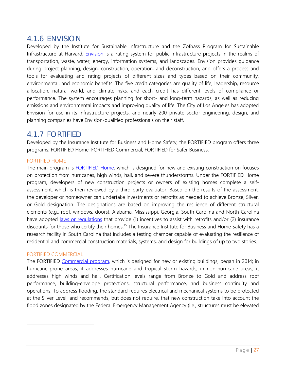### <span id="page-26-0"></span>4.1.6 ENVISION

Developed by the Institute for Sustainable Infrastructure and the Zofnass Program for Sustainable Infrastructure at Harvard, *Envision* is a rating system for public infrastructure projects in the realms of transportation, waste, water, energy, information systems, and landscapes. Envision provides guidance during project planning, design, construction, operation, and deconstruction, and offers a process and tools for evaluating and rating projects of different sizes and types based on their community, environmental, and economic benefits. The five credit categories are quality of life, leadership, resource allocation, natural world, and climate risks, and each credit has different levels of compliance or performance. The system encourages planning for short- and long-term hazards, as well as reducing emissions and environmental impacts and improving quality of life. The City of Los Angeles has adopted Envision for use in its infrastructure projects, and nearly 200 private sector engineering, design, and planning companies have Envision-qualified professionals on their staff.

## <span id="page-26-1"></span>4.1.7 FORTIFIED

Developed by the Insurance Institute for Business and Home Safety, the FORTIFIED program offers three programs: FORTIFIED Home, FORTIFIED Commercial, FORTIFIED for Safer Business.

#### FORTIFIED HOME

The main program is [FORTIFIED Home,](http://disastersafety.org/fortified/homeowners/) which is designed for new and existing construction on focuses on protection from hurricanes, high winds, hail, and severe thunderstorms. Under the FORTIFIED Home program, developers of new construction projects or owners of existing homes complete a selfassessment, which is then reviewed by a third-party evaluator. Based on the results of the assessment, the developer or homeowner can undertake investments or retrofits as needed to achieve Bronze, Silver, or Gold designation. The designations are based on improving the resilience of different structural elements (e.g., roof, windows, doors). Alabama, Mississippi, Georgia, South Carolina and North Carolina have adopted [laws or regulations](http://disastersafety.org/wp-content/uploads/FORTIFIED-Home-Incentives_IBHS.pdf) that provide (1) incentives to assist with retrofits and/or (2) insurance discounts for those who certify their homes.<sup>[15](#page-26-2)</sup> The Insurance Institute for Business and Home Safety has a research facility in South Carolina that includes a testing chamber capable of evaluating the resilience of residential and commercial construction materials, systems, and design for buildings of up to two stories.

#### FORTIFIED COMMERCIAL

<span id="page-26-2"></span> $\overline{a}$ 

The FORTIFIED [Commercial program,](http://disastersafety.org/fortified/commercial/) which is designed for new or existing buildings, began in 2014; in hurricane-prone areas, it addresses hurricane and tropical storm hazards; in non-hurricane areas, it addresses high winds and hail. Certification levels range from Bronze to Gold and address roof performance, building-envelope protections, structural performance, and business continuity and operations. To address flooding, the standard requires electrical and mechanical systems to be protected at the Silver Level, and recommends, but does not require, that new construction take into account the flood zones designated by the Federal Emergency Management Agency (i.e., structures must be elevated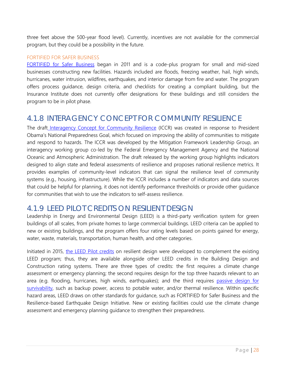three feet above the 500-year flood level). Currently, incentives are not available for the commercial program, but they could be a possibility in the future.

#### FORTIFIED FOR SAFER BUSINESS

[FORTIFIED for Safer Business](http://disastersafety.org/fortified/safer-business/) began in 2011 and is a code-plus program for small and mid-sized businesses constructing new facilities. Hazards included are floods, freezing weather, hail, high winds, hurricanes, water intrusion, wildfires, earthquakes, and interior damage from fire and water. The program offers process guidance, design criteria, and checklists for creating a compliant building, but the Insurance Institute does not currently offer designations for these buildings and still considers the program to be in pilot phase.

## <span id="page-27-0"></span>4.1.8 INTERAGENCY CONCEPT FOR COMMUNITY RESILIENCE

The draft [Interagency Concept for Community Resilience](https://www.fema.gov/media-library-data/1466085676217-a14e229a461adfa574a5d03041a6297c/FEMA-CRI-Draft-Concept-Paper-508_Jun_2016.pdf) (ICCR) was created in response to President Obama's National Preparedness Goal, which focused on improving the ability of communities to mitigate and respond to hazards. The ICCR was developed by the Mitigation Framework Leadership Group, an interagency working group co-led by the Federal Emergency Management Agency and the National Oceanic and Atmospheric Administration. The draft released by the working group highlights indicators designed to align state and federal assessments of resilience and proposes national resilience metrics. It provides examples of community-level indicators that can signal the resilience level of community systems (e.g., housing, infrastructure). While the ICCR includes a number of indicators and data sources that could be helpful for planning, it does not identify performance thresholds or provide other guidance for communities that wish to use the indicators to self-assess resilience.

### <span id="page-27-1"></span>4.1.9 LEED PILOT CREDITS ON RESILIENT DESIGN

Leadership in Energy and Environmental Design (LEED) is a third-party verification system for green buildings of all scales, from private homes to large commercial buildings. LEED criteria can be applied to new or existing buildings, and the program offers four rating levels based on points gained for energy, water, waste, materials, transportation, human health, and other categories.

Initiated in 2015, [the LEED Pilot credits](http://www.usgbc.org/pilotcredits) on resilient design were developed to complement the existing LEED program; thus, they are available alongside other LEED credits in the Building Design and Construction rating systems. There are three types of credits: the first requires a climate change assessment or emergency planning; the second requires design for the top three hazards relevant to an area (e.g. flooding, hurricanes, high winds, earthquakes); and the third requires [passive design for](http://www.resilientdesign.org/leed-pilot-credits-on-resilient-design-adopted/)  [survivability,](http://www.resilientdesign.org/leed-pilot-credits-on-resilient-design-adopted/) such as backup power, access to potable water, and/or thermal resilience. Within specific hazard areas, LEED draws on other standards for guidance, such as FORTIFIED for Safer Business and the Resilience-based Earthquake Design Initiative. New or existing facilities could use the climate change assessment and emergency planning guidance to strengthen their preparedness.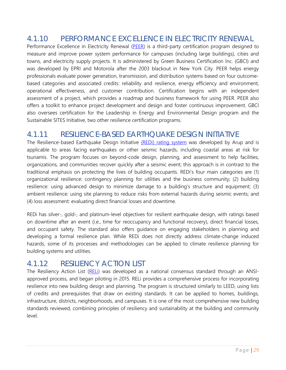## <span id="page-28-0"></span>4.1.10 PERFORMANCE EXCELLENCE IN ELECTRICITY RENEWAL

Performance Excellence in Electricity Renewal [\(PEER\)](http://peer.gbci.org/sites/default/files/resources/Rating%20System%20v1_1%20FOR%20DISTRIBUTION.PDF) is a third-party certification program designed to measure and improve power system performance for campuses (including large buildings), cities and towns, and electricity supply projects. It is administered by Green Business Certification Inc. (GBCI) and was developed by EPRI and Motorola after the 2003 blackout in New York City. PEER helps energy professionals evaluate power generation, transmission, and distribution systems based on four outcomebased categories and associated credits: reliability and resilience, energy efficiency and environment, operational effectiveness, and customer contribution. Certification begins with an independent assessment of a project, which provides a roadmap and business framework for using PEER. PEER also offers a toolkit to enhance project development and design and foster continuous improvement. GBCI also oversees certification for the Leadership in Energy and Environmental Design program and the Sustainable SITES Initiative, two other resilience certification programs.

## <span id="page-28-1"></span>4.1.11 RESILIENCE-BASED EARTHQUAKE DESIGN INITIATIVE

The Resilience-based Earthquake Design Initiative (REDi) [rating system](http://publications.arup.com/publications/r/redi_rating_system) was developed by Arup and is applicable to areas facing earthquakes or other seismic hazards, including coastal areas at risk for tsunamis. The program focuses on beyond-code design, planning, and assessment to help facilities, organizations, and communities recover quickly after a seismic event; this approach is in contrast to the traditional emphasis on protecting the lives of building occupants. REDi's four main categories are (1) organizational resilience: contingency planning for utilities and the business community; (2) building resilience: using advanced design to minimize damage to a building's structure and equipment; (3) ambient resilience: using site planning to reduce risks from external hazards during seismic events; and (4) loss assessment: evaluating direct financial losses and downtime.

REDi has silver-, gold-, and platinum-level objectives for resilient earthquake design, with ratings based on downtime after an event (i.e., time for reoccupancy and functional recovery), direct financial losses, and occupant safety. The standard also offers guidance on engaging stakeholders in planning and developing a formal resilience plan. While REDi does not directly address climate-change induced hazards, some of its processes and methodologies can be applied to climate resilience planning for building systems and utilities.

### <span id="page-28-2"></span>4.1.12 RESILIENCY ACTION LIST

The Resiliency Action List [\(RELi\)](http://c3livingdesign.org/?page_id=5110) was developed as a national consensus standard through an ANSIapproved process, and began piloting in 2015. RELi provides a comprehensive process for incorporating resilience into new building design and planning. The program is structured similarly to LEED, using lists of credits and prerequisites that draw on existing standards. It can be applied to homes, buildings, infrastructure, districts, neighborhoods, and campuses. It is one of the most comprehensive new building standards reviewed, combining principles of resiliency and sustainability at the building and community level.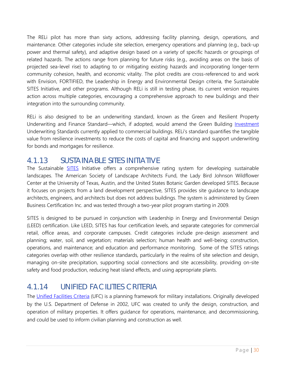The RELi pilot has more than sixty actions, addressing facility planning, design, operations, and maintenance. Other categories include site selection, emergency operations and planning (e.g., back-up power and thermal safety), and adaptive design based on a variety of specific hazards or groupings of related hazards. The actions range from planning for future risks (e.g., avoiding areas on the basis of projected sea-level rise) to adapting to or mitigating existing hazards and incorporating longer-term community cohesion, health, and economic vitality. The pilot credits are cross-referenced to and work with Envision, FORTIFIED, the Leadership in Energy and Environmental Design criteria, the Sustainable SITES Initiative, and other programs. Although RELi is still in testing phase, its current version requires action across multiple categories, encouraging a comprehensive approach to new buildings and their integration into the surrounding community.

RELi is also designed to be an underwriting standard, known as the Green and Resilient Property Underwriting and Finance Standard—which, if adopted, would amend the Green Building [Investment](http://mts.sustainableproducts.com/resiliency/CMP%20Commercial%20Green%20Building%20Underwriting%20Standard%20-%20Ver%202.2.pdf) Underwriting Standards currently applied to commercial buildings. RELi's standard quantifies the tangible value from resilience investments to reduce the costs of capital and financing and support underwriting for bonds and mortgages for resilience.

## <span id="page-29-0"></span>4.1.13 SUSTAINABLE SITES INITIATIVE

The Sustainable **[SITES](http://www.sustainablesites.org/certification)** Initiative offers a comprehensive rating system for developing sustainable landscapes. The American Society of Landscape Architects Fund, the Lady Bird Johnson Wildflower Center at the University of Texas, Austin, and the United States Botanic Garden developed SITES. Because it focuses on projects from a land development perspective, SITES provides site guidance to landscape architects, engineers, and architects but does not address buildings. The system is administered by Green Business Certification Inc. and was tested through a two-year pilot program starting in 2009.

SITES is designed to be pursued in conjunction with Leadership in Energy and Environmental Design (LEED) certification. Like LEED, SITES has four certification levels, and separate categories for commercial retail, office areas, and corporate campuses. Credit categories include pre-design assessment and planning; water, soil, and vegetation; materials selection; human health and well-being; construction, operations, and maintenance; and education and performance monitoring. Some of the SITES ratings categories overlap with other resilience standards, particularly in the realms of site selection and design, managing on-site precipitation, supporting social connections and site accessibility, providing on-site safety and food production, reducing heat island effects, and using appropriate plants.

## <span id="page-29-1"></span>4.1.14 UNIFIED FACILITIES CRITERIA

The [Unified Facilities Criteria](http://www.wbdg.org/ffc/dod) (UFC) is a planning framework for military installations. Originally developed by the U.S. Department of Defense in 2002, UFC was created to unify the design, construction, and operation of military properties. It offers guidance for operations, maintenance, and decommissioning, and could be used to inform civilian planning and construction as well.